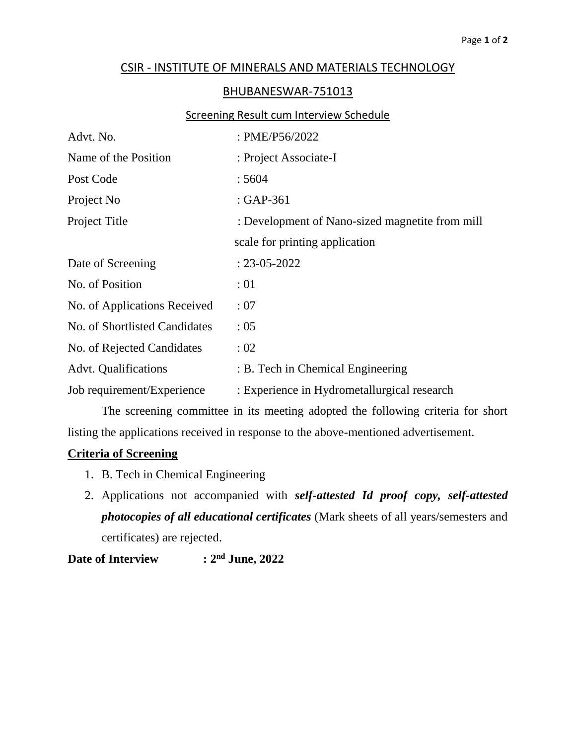## CSIR - INSTITUTE OF MINERALS AND MATERIALS TECHNOLOGY

## BHUBANESWAR-751013

## Screening Result cum Interview Schedule

| Advt. No.                     | : PME/P56/2022                                  |
|-------------------------------|-------------------------------------------------|
| Name of the Position          | : Project Associate-I                           |
| Post Code                     | :5604                                           |
| Project No                    | $: GAP-361$                                     |
| Project Title                 | : Development of Nano-sized magnetite from mill |
|                               | scale for printing application                  |
| Date of Screening             | $: 23 - 05 - 2022$                              |
| No. of Position               | :01                                             |
| No. of Applications Received  | :07                                             |
| No. of Shortlisted Candidates | : 05                                            |
| No. of Rejected Candidates    | : 02                                            |
| <b>Advt.</b> Qualifications   | : B. Tech in Chemical Engineering               |
| Job requirement/Experience    | : Experience in Hydrometallurgical research     |

The screening committee in its meeting adopted the following criteria for short listing the applications received in response to the above-mentioned advertisement.

## **Criteria of Screening**

- 1. B. Tech in Chemical Engineering
- 2. Applications not accompanied with *self-attested Id proof copy, self-attested photocopies of all educational certificates* (Mark sheets of all years/semesters and certificates) are rejected.

**Date of Interview nd June, 2022**